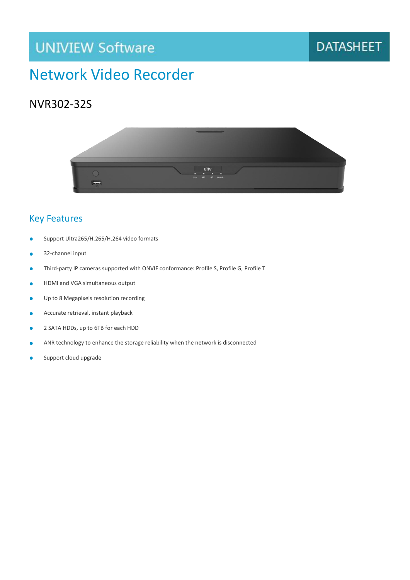# **UNIVIEW Software**

### **DATASHEET**

## Network Video Recorder

#### NVR302-32S



#### Key Features

- Support Ultra265/H.265/H.264 video formats
- 32-channel input
- Third-party IP cameras supported with ONVIF conformance: Profile S, Profile G, Profile T
- **•** HDMI and VGA simultaneous output
- Up to 8 Megapixels resolution recording
- **Accurate retrieval, instant playback**
- 2 SATA HDDs, up to 6TB for each HDD
- ANR technology to enhance the storage reliability when the network is disconnected
- Support cloud upgrade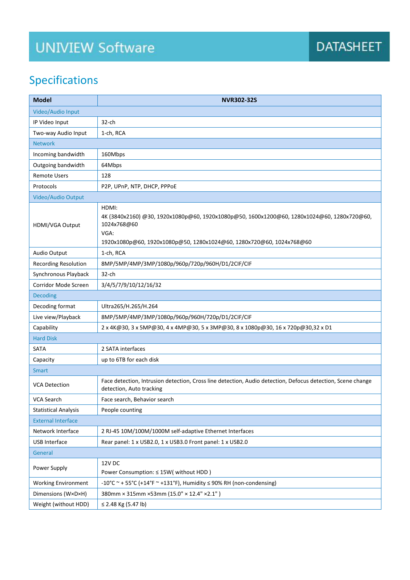# **UNIVIEW Software**

## Specifications

| <b>Model</b>                | <b>NVR302-32S</b>                                                                                                                                                                                  |
|-----------------------------|----------------------------------------------------------------------------------------------------------------------------------------------------------------------------------------------------|
| Video/Audio Input           |                                                                                                                                                                                                    |
| IP Video Input              | $32$ -ch                                                                                                                                                                                           |
| Two-way Audio Input         | 1-ch, RCA                                                                                                                                                                                          |
| <b>Network</b>              |                                                                                                                                                                                                    |
| Incoming bandwidth          | 160Mbps                                                                                                                                                                                            |
| Outgoing bandwidth          | 64Mbps                                                                                                                                                                                             |
| <b>Remote Users</b>         | 128                                                                                                                                                                                                |
| Protocols                   | P2P, UPnP, NTP, DHCP, PPPoE                                                                                                                                                                        |
| Video/Audio Output          |                                                                                                                                                                                                    |
| HDMI/VGA Output             | HDMI:<br>4K (3840x2160) @30, 1920x1080p@60, 1920x1080p@50, 1600x1200@60, 1280x1024@60, 1280x720@60,<br>1024x768@60<br>VGA:<br>1920x1080p@60, 1920x1080p@50, 1280x1024@60, 1280x720@60, 1024x768@60 |
| Audio Output                | 1-ch, RCA                                                                                                                                                                                          |
| <b>Recording Resolution</b> | 8MP/5MP/4MP/3MP/1080p/960p/720p/960H/D1/2CIF/CIF                                                                                                                                                   |
| Synchronous Playback        | 32-ch                                                                                                                                                                                              |
| Corridor Mode Screen        | 3/4/5/7/9/10/12/16/32                                                                                                                                                                              |
| <b>Decoding</b>             |                                                                                                                                                                                                    |
| Decoding format             | Ultra265/H.265/H.264                                                                                                                                                                               |
| Live view/Playback          | 8MP/5MP/4MP/3MP/1080p/960p/960H/720p/D1/2CIF/CIF                                                                                                                                                   |
| Capability                  | 2 x 4K@30, 3 x 5MP@30, 4 x 4MP@30, 5 x 3MP@30, 8 x 1080p@30, 16 x 720p@30,32 x D1                                                                                                                  |
| <b>Hard Disk</b>            |                                                                                                                                                                                                    |
| <b>SATA</b>                 | 2 SATA interfaces                                                                                                                                                                                  |
| Capacity                    | up to 6TB for each disk                                                                                                                                                                            |
| <b>Smart</b>                |                                                                                                                                                                                                    |
| <b>VCA Detection</b>        | Face detection, Intrusion detection, Cross line detection, Audio detection, Defocus detection, Scene change<br>detection, Auto tracking                                                            |
| <b>VCA Search</b>           | Face search, Behavior search                                                                                                                                                                       |
| <b>Statistical Analysis</b> | People counting                                                                                                                                                                                    |
| <b>External Interface</b>   |                                                                                                                                                                                                    |
| Network Interface           | 2 RJ-45 10M/100M/1000M self-adaptive Ethernet Interfaces                                                                                                                                           |
| USB Interface               | Rear panel: 1 x USB2.0, 1 x USB3.0 Front panel: 1 x USB2.0                                                                                                                                         |
| General                     |                                                                                                                                                                                                    |
| Power Supply                | <b>12V DC</b><br>Power Consumption: ≤ 15W( without HDD)                                                                                                                                            |
| <b>Working Environment</b>  | -10°C ~ + 55°C (+14°F ~ +131°F), Humidity $\leq$ 90% RH (non-condensing)                                                                                                                           |
| Dimensions (W×D×H)          | 380mm × 315mm × 53mm (15.0" × 12.4" × 2.1")                                                                                                                                                        |
| Weight (without HDD)        | ≤ 2.48 Kg (5.47 lb)                                                                                                                                                                                |